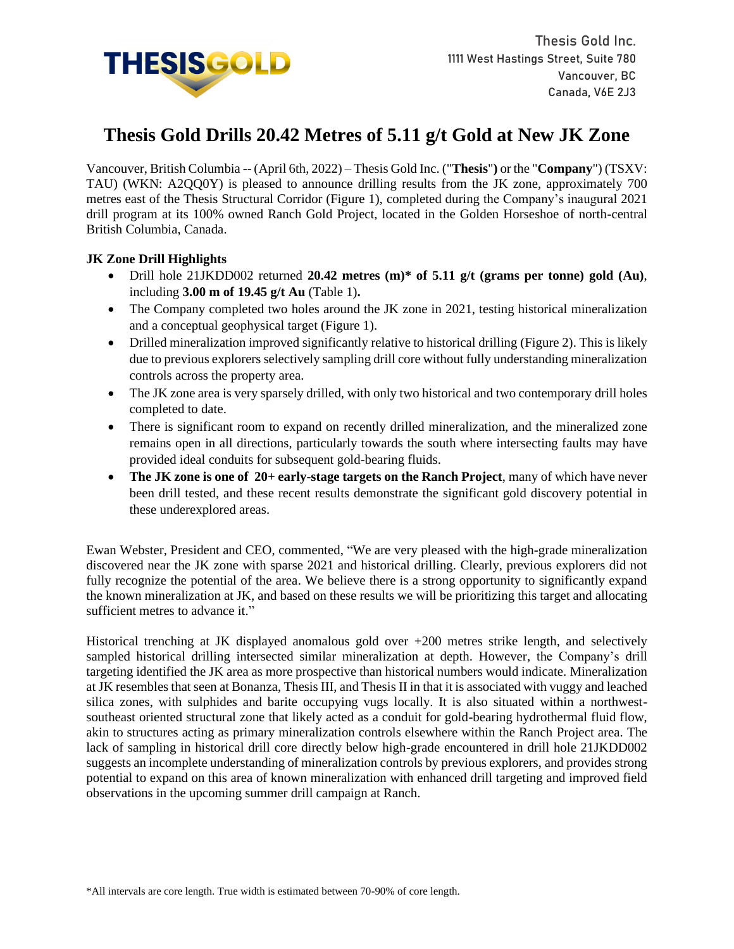

# **Thesis Gold Drills 20.42 Metres of 5.11 g/t Gold at New JK Zone**

Vancouver, British Columbia -- (April 6th, 2022) – Thesis Gold Inc. ("**Thesis**"**)** or the "**Company**") (TSXV: TAU) (WKN: A2QQ0Y) is pleased to announce drilling results from the JK zone, approximately 700 metres east of the Thesis Structural Corridor (Figure 1), completed during the Company's inaugural 2021 drill program at its 100% owned Ranch Gold Project, located in the Golden Horseshoe of north-central British Columbia, Canada.

## **JK Zone Drill Highlights**

- Drill hole 21JKDD002 returned **20.42 metres (m)\* of 5.11 g/t (grams per tonne) gold (Au)**, including **3.00 m of 19.45 g/t Au** (Table 1)**.**
- The Company completed two holes around the JK zone in 2021, testing historical mineralization and a conceptual geophysical target (Figure 1).
- Drilled mineralization improved significantly relative to historical drilling (Figure 2). This is likely due to previous explorers selectively sampling drill core without fully understanding mineralization controls across the property area.
- The JK zone area is very sparsely drilled, with only two historical and two contemporary drill holes completed to date.
- There is significant room to expand on recently drilled mineralization, and the mineralized zone remains open in all directions, particularly towards the south where intersecting faults may have provided ideal conduits for subsequent gold-bearing fluids.
- **The JK zone is one of 20+ early-stage targets on the Ranch Project**, many of which have never been drill tested, and these recent results demonstrate the significant gold discovery potential in these underexplored areas.

Ewan Webster, President and CEO, commented, "We are very pleased with the high-grade mineralization discovered near the JK zone with sparse 2021 and historical drilling. Clearly, previous explorers did not fully recognize the potential of the area. We believe there is a strong opportunity to significantly expand the known mineralization at JK, and based on these results we will be prioritizing this target and allocating sufficient metres to advance it."

Historical trenching at JK displayed anomalous gold over +200 metres strike length, and selectively sampled historical drilling intersected similar mineralization at depth. However, the Company's drill targeting identified the JK area as more prospective than historical numbers would indicate. Mineralization at JK resembles that seen at Bonanza, Thesis III, and Thesis II in that it is associated with vuggy and leached silica zones, with sulphides and barite occupying vugs locally. It is also situated within a northwestsoutheast oriented structural zone that likely acted as a conduit for gold-bearing hydrothermal fluid flow, akin to structures acting as primary mineralization controls elsewhere within the Ranch Project area. The lack of sampling in historical drill core directly below high-grade encountered in drill hole 21JKDD002 suggests an incomplete understanding of mineralization controls by previous explorers, and provides strong potential to expand on this area of known mineralization with enhanced drill targeting and improved field observations in the upcoming summer drill campaign at Ranch.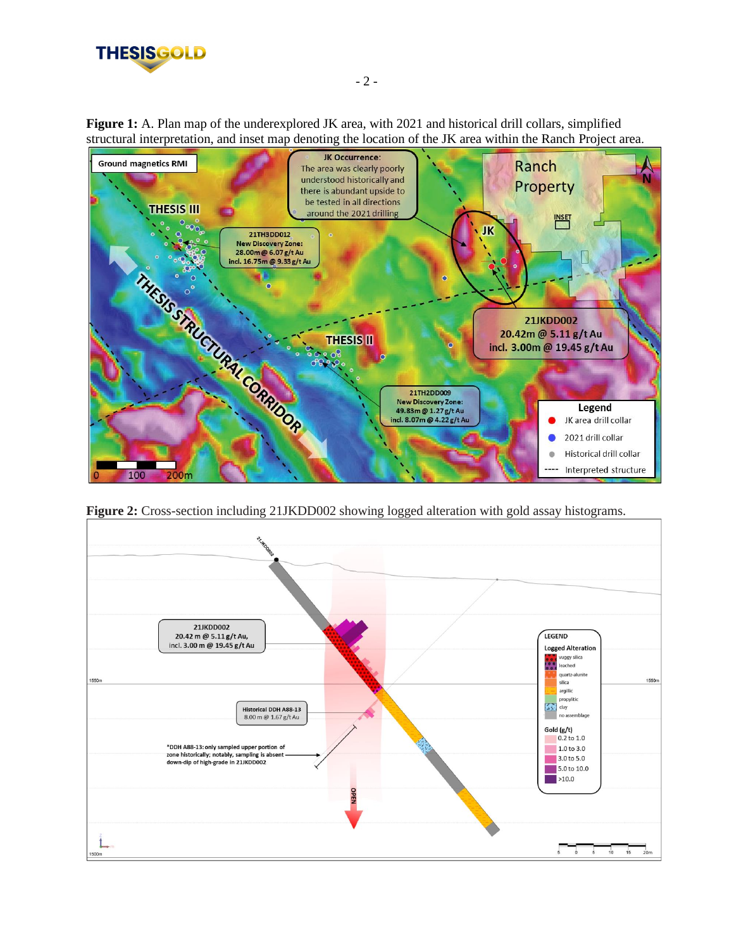

**Figure 1:** A. Plan map of the underexplored JK area, with 2021 and historical drill collars, simplified structural interpretation, and inset map denoting the location of the JK area within the Ranch Project area.



**Figure 2:** Cross-section including 21JKDD002 showing logged alteration with gold assay histograms.

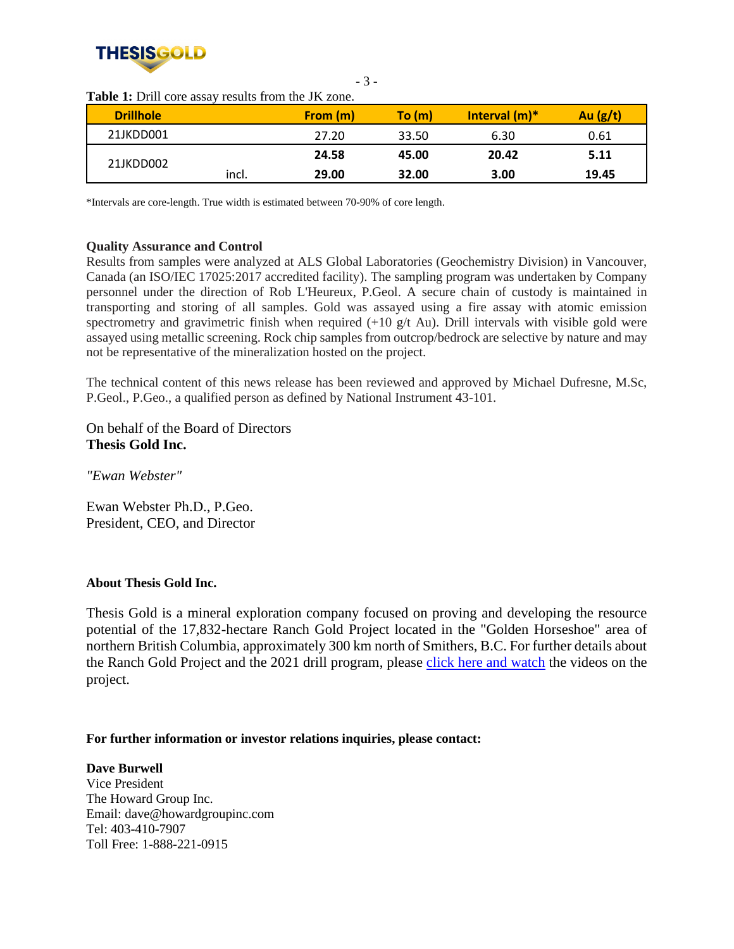

| <b>Drillhole</b> |       | From (m) | To (m) | Interval $(m)^*$ | Au $(g/t)$ |
|------------------|-------|----------|--------|------------------|------------|
| 21JKDD001        |       | 27.20    | 33.50  | 6.30             | 0.61       |
| 21JKDD002        |       | 24.58    | 45.00  | 20.42            | 5.11       |
|                  | incl. | 29.00    | 32.00  | 3.00             | 19.45      |

- 3 -

**Table 1:** Drill core assay results from the JK zone.

\*Intervals are core-length. True width is estimated between 70-90% of core length.

### **Quality Assurance and Control**

Results from samples were analyzed at ALS Global Laboratories (Geochemistry Division) in Vancouver, Canada (an ISO/IEC 17025:2017 accredited facility). The sampling program was undertaken by Company personnel under the direction of Rob L'Heureux, P.Geol. A secure chain of custody is maintained in transporting and storing of all samples. Gold was assayed using a fire assay with atomic emission spectrometry and gravimetric finish when required  $(+10 \text{ g/t}$  Au). Drill intervals with visible gold were assayed using metallic screening. Rock chip samples from outcrop/bedrock are selective by nature and may not be representative of the mineralization hosted on the project.

The technical content of this news release has been reviewed and approved by Michael Dufresne, M.Sc, P.Geol., P.Geo., a qualified person as defined by National Instrument 43-101.

On behalf of the Board of Directors **Thesis Gold Inc.**

*"Ewan Webster"*

Ewan Webster Ph.D., P.Geo. President, CEO, and Director

#### **About Thesis Gold Inc.**

Thesis Gold is a mineral exploration company focused on proving and developing the resource potential of the 17,832-hectare Ranch Gold Project located in the "Golden Horseshoe" area of northern British Columbia, approximately 300 km north of Smithers, B.C. For further details about the Ranch Gold Project and the 2021 drill program, please click here and watch the videos on the project.

#### **For further information or investor relations inquiries, please contact:**

**Dave Burwell** Vice President The Howard Group Inc. Email: dave@howardgroupinc.com Tel: 403-410-7907 Toll Free: 1-888-221-0915